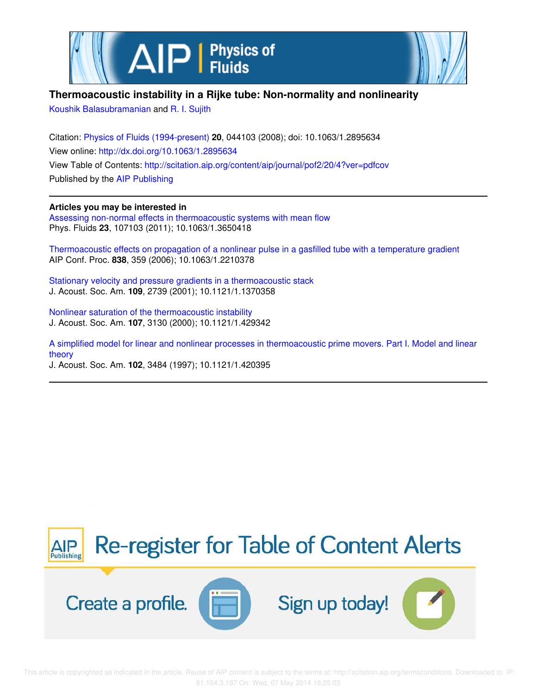



# **Thermoacoustic instability in a Rijke tube: Non-normality and nonlinearity**

Koushik Balasubramanian and R. I. Sujith

Citation: Physics of Fluids (1994-present) **20**, 044103 (2008); doi: 10.1063/1.2895634 View online: http://dx.doi.org/10.1063/1.2895634 View Table of Contents: http://scitation.aip.org/content/aip/journal/pof2/20/4?ver=pdfcov Published by the AIP Publishing

**Articles you may be interested in**

Assessing non-normal effects in thermoacoustic systems with mean flow Phys. Fluids **23**, 107103 (2011); 10.1063/1.3650418

Thermoacoustic effects on propagation of a nonlinear pulse in a gasfilled tube with a temperature gradient AIP Conf. Proc. **838**, 359 (2006); 10.1063/1.2210378

Stationary velocity and pressure gradients in a thermoacoustic stack J. Acoust. Soc. Am. **109**, 2739 (2001); 10.1121/1.1370358

Nonlinear saturation of the thermoacoustic instability J. Acoust. Soc. Am. **107**, 3130 (2000); 10.1121/1.429342

A simplified model for linear and nonlinear processes in thermoacoustic prime movers. Part I. Model and linear theory J. Acoust. Soc. Am. **102**, 3484 (1997); 10.1121/1.420395

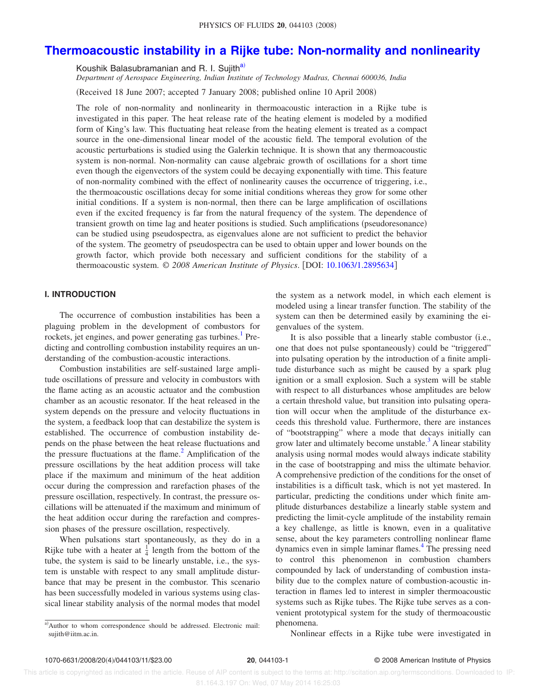# **Thermoacoustic instability in a Rijke tube: Non-normality and nonlinearity**

Koushik Balasubramanian and R. I. Sujith<sup>a)</sup>

*Department of Aerospace Engineering, Indian Institute of Technology Madras, Chennai 600036, India*

Received 18 June 2007; accepted 7 January 2008; published online 10 April 2008-

The role of non-normality and nonlinearity in thermoacoustic interaction in a Rijke tube is investigated in this paper. The heat release rate of the heating element is modeled by a modified form of King's law. This fluctuating heat release from the heating element is treated as a compact source in the one-dimensional linear model of the acoustic field. The temporal evolution of the acoustic perturbations is studied using the Galerkin technique. It is shown that any thermoacoustic system is non-normal. Non-normality can cause algebraic growth of oscillations for a short time even though the eigenvectors of the system could be decaying exponentially with time. This feature of non-normality combined with the effect of nonlinearity causes the occurrence of triggering, i.e., the thermoacoustic oscillations decay for some initial conditions whereas they grow for some other initial conditions. If a system is non-normal, then there can be large amplification of oscillations even if the excited frequency is far from the natural frequency of the system. The dependence of transient growth on time lag and heater positions is studied. Such amplifications (pseudoresonance) can be studied using pseudospectra, as eigenvalues alone are not sufficient to predict the behavior of the system. The geometry of pseudospectra can be used to obtain upper and lower bounds on the growth factor, which provide both necessary and sufficient conditions for the stability of a thermoacoustic system. © 2008 American Institute of Physics. [DOI: 10.1063/1.2895634]

## **I. INTRODUCTION**

The occurrence of combustion instabilities has been a plaguing problem in the development of combustors for rockets, jet engines, and power generating gas turbines.<sup>1</sup> Predicting and controlling combustion instability requires an understanding of the combustion-acoustic interactions.

Combustion instabilities are self-sustained large amplitude oscillations of pressure and velocity in combustors with the flame acting as an acoustic actuator and the combustion chamber as an acoustic resonator. If the heat released in the system depends on the pressure and velocity fluctuations in the system, a feedback loop that can destabilize the system is established. The occurrence of combustion instability depends on the phase between the heat release fluctuations and the pressure fluctuations at the flame.<sup>2</sup> Amplification of the pressure oscillations by the heat addition process will take place if the maximum and minimum of the heat addition occur during the compression and rarefaction phases of the pressure oscillation, respectively. In contrast, the pressure oscillations will be attenuated if the maximum and minimum of the heat addition occur during the rarefaction and compression phases of the pressure oscillation, respectively.

When pulsations start spontaneously, as they do in a Rijke tube with a heater at  $\frac{1}{4}$  length from the bottom of the tube, the system is said to be linearly unstable, i.e., the system is unstable with respect to any small amplitude disturbance that may be present in the combustor. This scenario has been successfully modeled in various systems using classical linear stability analysis of the normal modes that model the system as a network model, in which each element is modeled using a linear transfer function. The stability of the system can then be determined easily by examining the eigenvalues of the system.

It is also possible that a linearly stable combustor (i.e., one that does not pulse spontaneously) could be "triggered" into pulsating operation by the introduction of a finite amplitude disturbance such as might be caused by a spark plug ignition or a small explosion. Such a system will be stable with respect to all disturbances whose amplitudes are below a certain threshold value, but transition into pulsating operation will occur when the amplitude of the disturbance exceeds this threshold value. Furthermore, there are instances of "bootstrapping" where a mode that decays initially can grow later and ultimately become unstable. $3$  A linear stability analysis using normal modes would always indicate stability in the case of bootstrapping and miss the ultimate behavior. A comprehensive prediction of the conditions for the onset of instabilities is a difficult task, which is not yet mastered. In particular, predicting the conditions under which finite amplitude disturbances destabilize a linearly stable system and predicting the limit-cycle amplitude of the instability remain a key challenge, as little is known, even in a qualitative sense, about the key parameters controlling nonlinear flame dynamics even in simple laminar flames.<sup>4</sup> The pressing need to control this phenomenon in combustion chambers compounded by lack of understanding of combustion instability due to the complex nature of combustion-acoustic interaction in flames led to interest in simpler thermoacoustic systems such as Rijke tubes. The Rijke tube serves as a convenient prototypical system for the study of thermoacoustic phenomena.

Nonlinear effects in a Rijke tube were investigated in

a)Author to whom correspondence should be addressed. Electronic mail: sujith@iitm.ac.in.

This article is copyrighted as indicated in the article. Reuse of AIP content is subject to the terms at: http://scitation.aip.org/termsconditions. Downloaded to IP: 81.164.3.197 On: Wed, 07 May 2014 16:25:03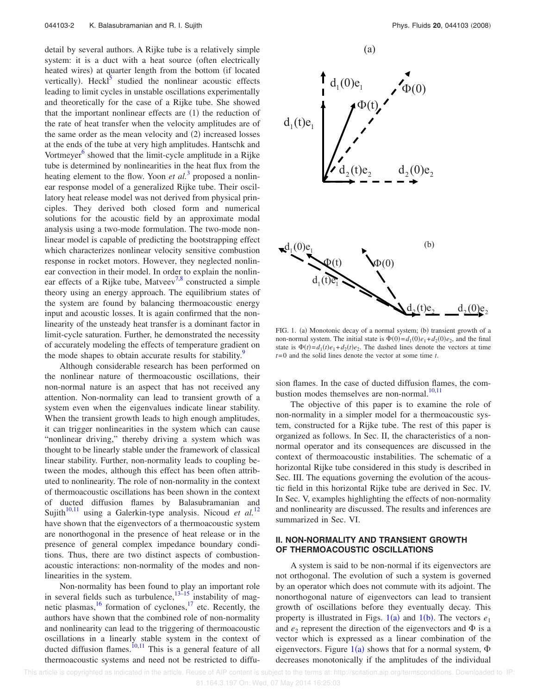detail by several authors. A Rijke tube is a relatively simple system: it is a duct with a heat source (often electrically heated wires) at quarter length from the bottom (if located vertically). Heckl $^5$  studied the nonlinear acoustic effects leading to limit cycles in unstable oscillations experimentally and theoretically for the case of a Rijke tube. She showed that the important nonlinear effects are  $(1)$  the reduction of the rate of heat transfer when the velocity amplitudes are of the same order as the mean velocity and (2) increased losses at the ends of the tube at very high amplitudes. Hantschk and Vortmeyer<sup>6</sup> showed that the limit-cycle amplitude in a Rijke tube is determined by nonlinearities in the heat flux from the heating element to the flow. Yoon *et al.*<sup>3</sup> proposed a nonlinear response model of a generalized Rijke tube. Their oscillatory heat release model was not derived from physical principles. They derived both closed form and numerical solutions for the acoustic field by an approximate modal analysis using a two-mode formulation. The two-mode nonlinear model is capable of predicting the bootstrapping effect which characterizes nonlinear velocity sensitive combustion response in rocket motors. However, they neglected nonlinear convection in their model. In order to explain the nonlinear effects of a Rijke tube, Matveev<sup>7,8</sup> constructed a simple theory using an energy approach. The equilibrium states of the system are found by balancing thermoacoustic energy input and acoustic losses. It is again confirmed that the nonlinearity of the unsteady heat transfer is a dominant factor in limit-cycle saturation. Further, he demonstrated the necessity of accurately modeling the effects of temperature gradient on the mode shapes to obtain accurate results for stability.<sup>9</sup>

Although considerable research has been performed on the nonlinear nature of thermoacoustic oscillations, their non-normal nature is an aspect that has not received any attention. Non-normality can lead to transient growth of a system even when the eigenvalues indicate linear stability. When the transient growth leads to high enough amplitudes, it can trigger nonlinearities in the system which can cause "nonlinear driving," thereby driving a system which was thought to be linearly stable under the framework of classical linear stability. Further, non-normality leads to coupling between the modes, although this effect has been often attributed to nonlinearity. The role of non-normality in the context of thermoacoustic oscillations has been shown in the context of ducted diffusion flames by Balasubramanian and Sujith<sup>10,11</sup> using a Galerkin-type analysis. Nicoud *et al.*<sup>12</sup> have shown that the eigenvectors of a thermoacoustic system are nonorthogonal in the presence of heat release or in the presence of general complex impedance boundary conditions. Thus, there are two distinct aspects of combustionacoustic interactions: non-normality of the modes and nonlinearities in the system.

Non-normality has been found to play an important role in several fields such as turbulence, $13-15$  instability of magnetic plasmas,<sup>16</sup> formation of cyclones,<sup>17</sup> etc. Recently, the authors have shown that the combined role of non-normality and nonlinearity can lead to the triggering of thermoacoustic oscillations in a linearly stable system in the context of ducted diffusion flames.  $\frac{10,11}{10,11}$  This is a general feature of all thermoacoustic systems and need not be restricted to diffu(a)



FIG. 1. (a) Monotonic decay of a normal system; (b) transient growth of a non-normal system. The initial state is  $\Phi(0) = d_1(0)e_1 + d_2(0)e_2$ , and the final state is  $\Phi(t) = d_1(t)e_1 + d_2(t)e_2$ . The dashed lines denote the vectors at time *t*=0 and the solid lines denote the vector at some time *t*.

sion flames. In the case of ducted diffusion flames, the combustion modes themselves are non-normal. $10,11$ 

The objective of this paper is to examine the role of non-normality in a simpler model for a thermoacoustic system, constructed for a Rijke tube. The rest of this paper is organized as follows. In Sec. II, the characteristics of a nonnormal operator and its consequences are discussed in the context of thermoacoustic instabilities. The schematic of a horizontal Rijke tube considered in this study is described in Sec. III. The equations governing the evolution of the acoustic field in this horizontal Rijke tube are derived in Sec. IV. In Sec. V, examples highlighting the effects of non-normality and nonlinearity are discussed. The results and inferences are summarized in Sec. VI.

# **II. NON-NORMALITY AND TRANSIENT GROWTH OF THERMOACOUSTIC OSCILLATIONS**

A system is said to be non-normal if its eigenvectors are not orthogonal. The evolution of such a system is governed by an operator which does not commute with its adjoint. The nonorthogonal nature of eigenvectors can lead to transient growth of oscillations before they eventually decay. This property is illustrated in Figs.  $1(a)$  and  $1(b)$ . The vectors  $e_1$ and  $e_2$  represent the direction of the eigenvectors and  $\Phi$  is a vector which is expressed as a linear combination of the eigenvectors. Figure  $1(a)$  shows that for a normal system,  $\Phi$ decreases monotonically if the amplitudes of the individual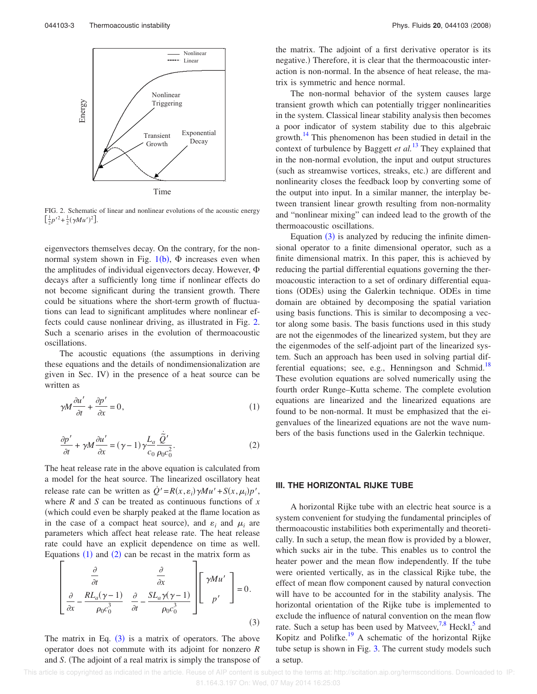

FIG. 2. Schematic of linear and nonlinear evolutions of the acoustic energy  $\left[\frac{1}{2}p'^{2}+\frac{1}{2}(\gamma Mu')^{2}\right]$ .

eigenvectors themselves decay. On the contrary, for the nonnormal system shown in Fig.  $1(b)$ ,  $\Phi$  increases even when the amplitudes of individual eigenvectors decay. However,  $\Phi$ decays after a sufficiently long time if nonlinear effects do not become significant during the transient growth. There could be situations where the short-term growth of fluctuations can lead to significant amplitudes where nonlinear effects could cause nonlinear driving, as illustrated in Fig. 2. Such a scenario arises in the evolution of thermoacoustic oscillations.

The acoustic equations (the assumptions in deriving these equations and the details of nondimensionalization are given in Sec. IV) in the presence of a heat source can be written as

$$
\gamma M \frac{\partial u'}{\partial t} + \frac{\partial p'}{\partial x} = 0,\tag{1}
$$

$$
\frac{\partial p'}{\partial t} + \gamma M \frac{\partial u'}{\partial x} = (\gamma - 1) \gamma \frac{L_a}{c_0} \frac{\dot{\tilde{Q}}'}{\rho_0 c_0^2}.
$$
 (2)

The heat release rate in the above equation is calculated from a model for the heat source. The linearized oscillatory heat release rate can be written as  $\dot{Q}' = R(x, \varepsilon_i) \gamma M u' + S(x, \mu_i) p'$ , where *R* and *S* can be treated as continuous functions of *x* which could even be sharply peaked at the flame location as in the case of a compact heat source), and  $\varepsilon_i$  and  $\mu_i$  are parameters which affect heat release rate. The heat release rate could have an explicit dependence on time as well. Equations  $(1)$  and  $(2)$  can be recast in the matrix form as

$$
\begin{bmatrix}\n\frac{\partial}{\partial t} & \frac{\partial}{\partial x} \\
\frac{\partial}{\partial x} - \frac{RL_a(\gamma - 1)}{\rho_0 c_0^3} & \frac{\partial}{\partial t} - \frac{SL_a\gamma(\gamma - 1)}{\rho_0 c_0^3}\n\end{bmatrix}\n\begin{bmatrix}\n\gamma M u' \\
p'\n\end{bmatrix} = 0.
$$
\n(3)

The matrix in Eq.  $(3)$  is a matrix of operators. The above operator does not commute with its adjoint for nonzero *R* and *S*. (The adjoint of a real matrix is simply the transpose of the matrix. The adjoint of a first derivative operator is its negative.) Therefore, it is clear that the thermoacoustic interaction is non-normal. In the absence of heat release, the matrix is symmetric and hence normal.

The non-normal behavior of the system causes large transient growth which can potentially trigger nonlinearities in the system. Classical linear stability analysis then becomes a poor indicator of system stability due to this algebraic growth.<sup>14</sup> This phenomenon has been studied in detail in the context of turbulence by Baggett *et al.*<sup>13</sup> They explained that in the non-normal evolution, the input and output structures (such as streamwise vortices, streaks, etc.) are different and nonlinearity closes the feedback loop by converting some of the output into input. In a similar manner, the interplay between transient linear growth resulting from non-normality and "nonlinear mixing" can indeed lead to the growth of the thermoacoustic oscillations.

Equation  $(3)$  is analyzed by reducing the infinite dimensional operator to a finite dimensional operator, such as a finite dimensional matrix. In this paper, this is achieved by reducing the partial differential equations governing the thermoacoustic interaction to a set of ordinary differential equations (ODEs) using the Galerkin technique. ODEs in time domain are obtained by decomposing the spatial variation using basis functions. This is similar to decomposing a vector along some basis. The basis functions used in this study are not the eigenmodes of the linearized system, but they are the eigenmodes of the self-adjoint part of the linearized system. Such an approach has been used in solving partial differential equations; see, e.g., Henningson and Schmid.<sup>18</sup> These evolution equations are solved numerically using the fourth order Runge–Kutta scheme. The complete evolution equations are linearized and the linearized equations are found to be non-normal. It must be emphasized that the eigenvalues of the linearized equations are not the wave numbers of the basis functions used in the Galerkin technique.

#### **III. THE HORIZONTAL RIJKE TUBE**

A horizontal Rijke tube with an electric heat source is a system convenient for studying the fundamental principles of thermoacoustic instabilities both experimentally and theoretically. In such a setup, the mean flow is provided by a blower, which sucks air in the tube. This enables us to control the heater power and the mean flow independently. If the tube were oriented vertically, as in the classical Rijke tube, the effect of mean flow component caused by natural convection will have to be accounted for in the stability analysis. The horizontal orientation of the Rijke tube is implemented to exclude the influence of natural convention on the mean flow rate. Such a setup has been used by Matveev,<sup>7,8</sup> Heckl,<sup>5</sup> and Kopitz and Polifke.<sup>19</sup> A schematic of the horizontal Rijke tube setup is shown in Fig. 3. The current study models such a setup.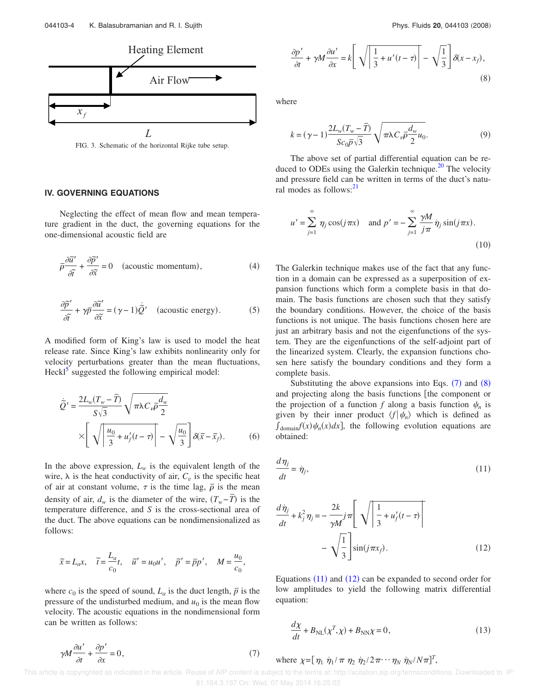

FIG. 3. Schematic of the horizontal Rijke tube setup.

### **IV. GOVERNING EQUATIONS**

Neglecting the effect of mean flow and mean temperature gradient in the duct, the governing equations for the one-dimensional acoustic field are

$$
\bar{\rho}\frac{\partial \tilde{u}'}{\partial \tilde{t}} + \frac{\partial \tilde{p}'}{\partial \tilde{x}} = 0 \quad \text{(acoustic momentum)}, \tag{4}
$$

$$
\frac{\partial \tilde{p}'}{\partial \tilde{t}} + \gamma \overline{p} \frac{\partial \tilde{u}'}{\partial \tilde{x}} = (\gamma - 1) \dot{\tilde{Q}}' \quad \text{(acoustic energy)}.
$$
 (5)

A modified form of King's law is used to model the heat release rate. Since King's law exhibits nonlinearity only for velocity perturbations greater than the mean fluctuations, Heckl $^5$  suggested the following empirical model:

$$
\tilde{Q}' = \frac{2L_w(T_w - \overline{T})}{S\sqrt{3}} \sqrt{\pi \lambda C_v \overline{\rho} \frac{d_w}{2}} \times \left[ \sqrt{\left| \frac{u_0}{3} + u'_f(t - \tau) \right|} - \sqrt{\frac{u_0}{3}} \right] \delta(\tilde{x} - \tilde{x}_f). \tag{6}
$$

In the above expression,  $L_w$  is the equivalent length of the wire,  $\lambda$  is the heat conductivity of air,  $C_v$  is the specific heat of air at constant volume,  $\tau$  is the time lag,  $\bar{\rho}$  is the mean density of air,  $d_w$  is the diameter of the wire,  $(T_w - \overline{T})$  is the temperature difference, and *S* is the cross-sectional area of the duct. The above equations can be nondimensionalized as follows:

$$
\widetilde{x} = L_a x, \quad \widetilde{t} = \frac{L_a}{c_0} t, \quad \widetilde{u}' = u_0 u', \quad \widetilde{p}' = \overline{p} p', \quad M = \frac{u_0}{c_0},
$$

where  $c_0$  is the speed of sound,  $L_a$  is the duct length,  $\bar{p}$  is the pressure of the undisturbed medium, and  $u_0$  is the mean flow velocity. The acoustic equations in the nondimensional form can be written as follows:

$$
\frac{\partial p'}{\partial t} + \gamma M \frac{\partial u'}{\partial x} = k \left[ \sqrt{\left| \frac{1}{3} + u'(t - \tau) \right|} - \sqrt{\frac{1}{3}} \right] \delta(x - x_f),\tag{8}
$$

where

$$
k = (\gamma - 1) \frac{2L_w(T_w - \overline{T})}{Sc_0 \overline{p}\sqrt{3}} \sqrt{\pi \lambda C_v \overline{\rho} \frac{d_w}{2} u_0}.
$$
 (9)

The above set of partial differential equation can be reduced to ODEs using the Galerkin technique.<sup>20</sup> The velocity and pressure field can be written in terms of the duct's natural modes as follows: $21$ 

$$
u' = \sum_{j=1}^{\infty} \eta_j \cos(j\pi x) \quad \text{and } p' = -\sum_{j=1}^{\infty} \frac{\gamma M}{j\pi} \dot{\eta}_j \sin(j\pi x).
$$
\n(10)

The Galerkin technique makes use of the fact that any function in a domain can be expressed as a superposition of expansion functions which form a complete basis in that domain. The basis functions are chosen such that they satisfy the boundary conditions. However, the choice of the basis functions is not unique. The basis functions chosen here are just an arbitrary basis and not the eigenfunctions of the system. They are the eigenfunctions of the self-adjoint part of the linearized system. Clearly, the expansion functions chosen here satisfy the boundary conditions and they form a complete basis.

Substituting the above expansions into Eqs.  $(7)$  and  $(8)$ and projecting along the basis functions [the component or the projection of a function *f* along a basis function  $\psi_n$  is given by their inner product  $\langle f | \psi_n \rangle$  which is defined as  $\int_{\text{domain}} f(x) \psi_n(x) dx$ , the following evolution equations are obtained:

$$
\frac{d\eta_j}{dt} = \dot{\eta}_j,\tag{11}
$$

$$
\frac{d\dot{\eta}_j}{dt} + k_j^2 \eta_j = -\frac{2k}{\gamma M} j\pi \left[ \sqrt{\left| \frac{1}{3} + u'_f(t - \tau) \right|} - \sqrt{\frac{1}{3}} \right] \sin(j\pi x_f). \tag{12}
$$

Equations  $(11)$  and  $(12)$  can be expanded to second order for low amplitudes to yield the following matrix differential equation:

$$
\frac{d\chi}{dt} + B_{\rm NL}(\chi^T, \chi) + B_{\rm NN}\chi = 0,\tag{13}
$$

$$
\gamma M \frac{\partial u'}{\partial t} + \frac{\partial p'}{\partial x} = 0,\tag{7}
$$

where  $\chi = [\eta_1 \dot{\eta}_1 / \pi \eta_2 \dot{\eta}_2 / 2 \pi \cdots \eta_N \dot{\eta}_N / N \pi]^T$ ,

This article is copyrighted as indicated in the article. Reuse of AIP content is subject to the terms at: http://scitation.aip.org/termsconditions. Downloaded to IP: 81.164.3.197 On: Wed, 07 May 2014 16:25:03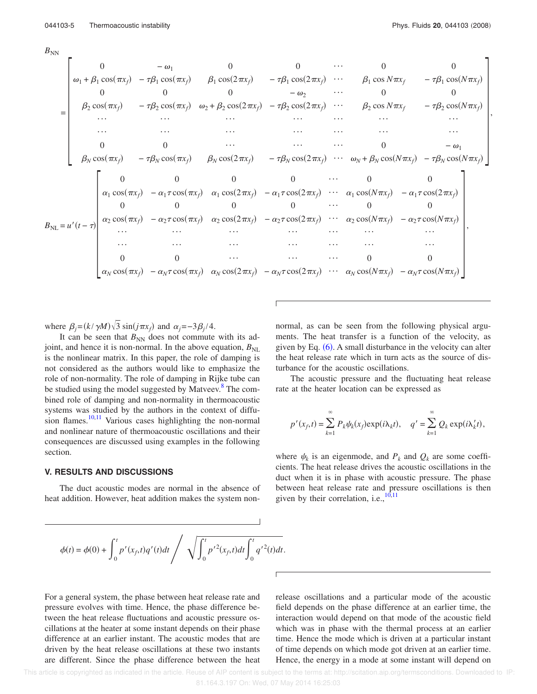$B_{\text{NN}}$ 

$$
\begin{bmatrix}\n0 & -\omega_{1} & 0 & 0 & \cdots & 0 & 0 & 0 \\
\omega_{1} + \beta_{1} \cos(\pi x_{f}) & -\tau \beta_{1} \cos(\pi x_{f}) & \beta_{1} \cos(2\pi x_{f}) & -\tau \beta_{1} \cos(2\pi x_{f}) & \cdots & \beta_{1} \cos N \pi x_{f} & -\tau \beta_{1} \cos(N \pi x_{f}) \\
0 & 0 & 0 & 0 & -\omega_{2} & \cdots & 0 & 0 \\
\vdots & \vdots & \vdots & \vdots & \vdots & \vdots & \vdots & \vdots & \vdots \\
\beta_{2} \cos(\pi x_{f}) & -\tau \beta_{2} \cos(\pi x_{f}) & \omega_{2} + \beta_{2} \cos(2\pi x_{f}) & -\tau \beta_{2} \cos(2\pi x_{f}) & \cdots & \beta_{2} \cos N \pi x_{f} & -\tau \beta_{2} \cos(N \pi x_{f}) \\
\vdots & \vdots & \vdots & \vdots & \vdots & \vdots & \vdots & \vdots & \vdots \\
\beta_{N} \cos(\pi x_{f}) & -\tau \beta_{N} \cos(\pi x_{f}) & \beta_{N} \cos(2\pi x_{f}) & -\tau \beta_{N} \cos(2\pi x_{f}) & \cdots & \omega_{N} + \beta_{N} \cos(N \pi x_{f}) & -\tau \beta_{N} \cos(N \pi x_{f})\n\end{bmatrix},
$$
\n
$$
B_{NL} = u'(t - \tau) \begin{bmatrix}\n0 & 0 & 0 & 0 & \cdots & 0 & 0 \\
\alpha_{1} \cos(\pi x_{f}) & -\alpha_{1} \tau \cos(\pi x_{f}) & \alpha_{1} \cos(2\pi x_{f}) & -\alpha_{1} \tau \cos(2\pi x_{f}) & \cdots & \alpha_{1} \cos(N \pi x_{f}) & -\alpha_{1} \tau \cos(2\pi x_{f}) \\
\vdots & \vdots & \vdots & \vdots & \vdots & \vdots & \vdots & \vdots & \vdots \\
\alpha_{N} \cos(\pi x_{f}) & -\alpha_{2} \tau \cos(\pi x_{f}) & \alpha_{2} \cos(2\pi x_{f}) & -\alpha_{N} \tau \cos(2\pi x_{f}) & \cdots & \alpha_{N} \cos(N \pi x_{f}) & -\alpha_{N} \tau \cos(N \pi x_{f
$$

where  $\beta_j = (k/\gamma M)\sqrt{3} \sin(j\pi x_f)$  and  $\alpha_j = -3\beta_j/4$ .

It can be seen that  $B_{NN}$  does not commute with its adjoint, and hence it is non-normal. In the above equation,  $B_{\text{NL}}$ is the nonlinear matrix. In this paper, the role of damping is not considered as the authors would like to emphasize the role of non-normality. The role of damping in Rijke tube can be studied using the model suggested by Matveev.<sup>8</sup> The combined role of damping and non-normality in thermoacoustic systems was studied by the authors in the context of diffusion flames.<sup>10,11</sup> Various cases highlighting the non-normal and nonlinear nature of thermoacoustic oscillations and their consequences are discussed using examples in the following section.

## **V. RESULTS AND DISCUSSIONS**

The duct acoustic modes are normal in the absence of heat addition. However, heat addition makes the system nonnormal, as can be seen from the following physical arguments. The heat transfer is a function of the velocity, as given by Eq.  $(6)$ . A small disturbance in the velocity can alter the heat release rate which in turn acts as the source of disturbance for the acoustic oscillations.

The acoustic pressure and the fluctuating heat release rate at the heater location can be expressed as

$$
p'(x_f, t) = \sum_{k=1}^{\infty} P_k \psi_k(x_f) \exp(i\lambda_k t), \quad q' = \sum_{k=1}^{\infty} Q_k \exp(i\lambda'_k t),
$$

where  $\psi_k$  is an eigenmode, and  $P_k$  and  $Q_k$  are some coefficients. The heat release drives the acoustic oscillations in the duct when it is in phase with acoustic pressure. The phase between heat release rate and pressure oscillations is then given by their correlation, i.e., $^{10,11}$ 

$$
\phi(t) = \phi(0) + \int_0^t p'(x_f, t) q'(t) dt / \sqrt{\int_0^t p'^2(x_f, t) dt \int_0^t q'^2(t) dt}.
$$

For a general system, the phase between heat release rate and pressure evolves with time. Hence, the phase difference between the heat release fluctuations and acoustic pressure oscillations at the heater at some instant depends on their phase difference at an earlier instant. The acoustic modes that are driven by the heat release oscillations at these two instants are different. Since the phase difference between the heat

release oscillations and a particular mode of the acoustic field depends on the phase difference at an earlier time, the interaction would depend on that mode of the acoustic field which was in phase with the thermal process at an earlier time. Hence the mode which is driven at a particular instant of time depends on which mode got driven at an earlier time. Hence, the energy in a mode at some instant will depend on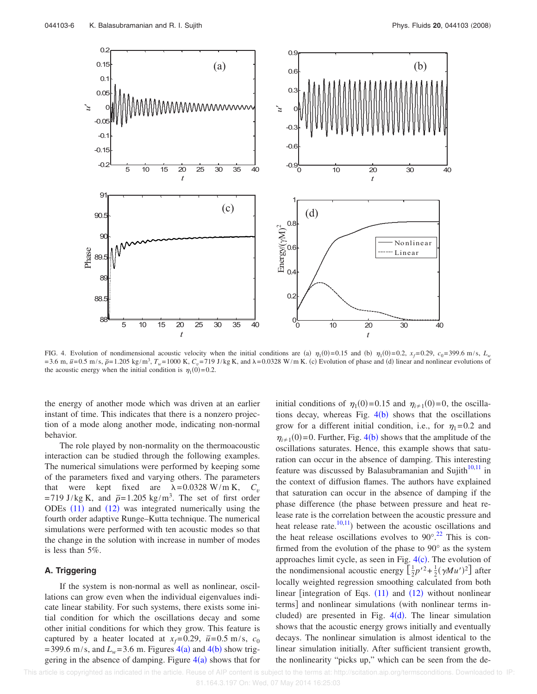

FIG. 4. Evolution of nondimensional acoustic velocity when the initial conditions are (a)  $\eta_1(0) = 0.15$  and (b)  $\eta_1(0) = 0.2$ ,  $x_f = 0.29$ ,  $c_0 = 399.6$  m/s,  $L_w$ =3.6 m,  $\bar{u}$ =0.5 m/s,  $\bar{\rho}$ =1.205 kg/m<sup>3</sup>,  $T_w$ =1000 K,  $C_v$ =719 J/kg K, and  $\lambda$ =0.0328 W/m K. (c) Evolution of phase and (d) linear and nonlinear evolutions of the acoustic energy when the initial condition is  $\eta_1(0)=0.2$ .

the energy of another mode which was driven at an earlier instant of time. This indicates that there is a nonzero projection of a mode along another mode, indicating non-normal behavior.

The role played by non-normality on the thermoacoustic interaction can be studied through the following examples. The numerical simulations were performed by keeping some of the parameters fixed and varying others. The parameters that were kept fixed are  $\lambda = 0.0328 \text{ W/m K}$ ,  $C_n$  $=719$  J/kg K, and  $\bar{\rho} = 1.205$  kg/m<sup>3</sup>. The set of first order ODEs  $(11)$  and  $(12)$  was integrated numerically using the fourth order adaptive Runge–Kutta technique. The numerical simulations were performed with ten acoustic modes so that the change in the solution with increase in number of modes is less than 5%.

#### **A. Triggering**

If the system is non-normal as well as nonlinear, oscillations can grow even when the individual eigenvalues indicate linear stability. For such systems, there exists some initial condition for which the oscillations decay and some other initial conditions for which they grow. This feature is captured by a heater located at  $x_f = 0.29$ ,  $\bar{u} = 0.5$  m/s,  $c_0$  $=$  399.6 m/s, and  $L_w$ = 3.6 m. Figures 4(a) and 4(b) show triggering in the absence of damping. Figure  $4(a)$  shows that for

initial conditions of  $\eta_1(0)=0.15$  and  $\eta_{i\neq 1}(0)=0$ , the oscillations decay, whereas Fig.  $4(b)$  shows that the oscillations grow for a different initial condition, i.e., for  $\eta_1 = 0.2$  and  $\eta_{i\neq 1}(0)$  = 0. Further, Fig. 4(b) shows that the amplitude of the oscillations saturates. Hence, this example shows that saturation can occur in the absence of damping. This interesting feature was discussed by Balasubramanian and Sujith $^{10,11}$  in the context of diffusion flames. The authors have explained that saturation can occur in the absence of damping if the phase difference (the phase between pressure and heat release rate is the correlation between the acoustic pressure and heat release rate. $10,11$ ) between the acoustic oscillations and the heat release oscillations evolves to  $90^{\circ}$ .<sup>22</sup> This is confirmed from the evolution of the phase to 90° as the system approaches limit cycle, as seen in Fig.  $4(c)$ . The evolution of the nondimensional acoustic energy  $\left[\frac{1}{2}p'^2 + \frac{1}{2}(\gamma M u')^2\right]$  after locally weighted regression smoothing calculated from both linear [integration of Eqs.  $(11)$  and  $(12)$  without nonlinear terms] and nonlinear simulations (with nonlinear terms included) are presented in Fig.  $4(d)$ . The linear simulation shows that the acoustic energy grows initially and eventually decays. The nonlinear simulation is almost identical to the linear simulation initially. After sufficient transient growth, the nonlinearity "picks up," which can be seen from the de-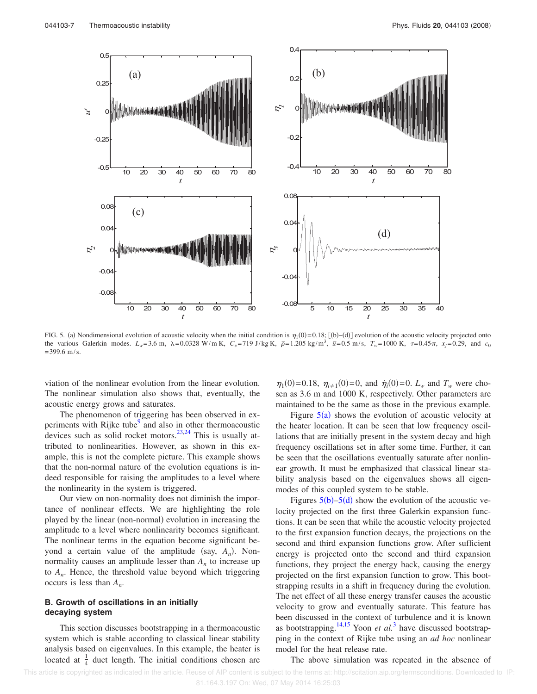

FIG. 5. (a) Nondimensional evolution of acoustic velocity when the initial condition is  $\eta_1(0)=0.18$ ; [(b)–(d)] evolution of the acoustic velocity projected onto the various Galerkin modes.  $L_w = 3.6$  m,  $\lambda = 0.0328$  W/m K,  $C_v = 719$  J/kg K,  $\bar{\rho} = 1.205$  kg/m<sup>3</sup>,  $\bar{u} = 0.5$  m/s,  $T_w = 1000$  K,  $\tau = 0.45\pi$ ,  $x_f = 0.29$ , and  $c_0$  $=$  399.6 m/s.

viation of the nonlinear evolution from the linear evolution. The nonlinear simulation also shows that, eventually, the acoustic energy grows and saturates.

The phenomenon of triggering has been observed in experiments with Rijke tube<sup>9</sup> and also in other thermoacoustic devices such as solid rocket motors. $^{23,24}$  This is usually attributed to nonlinearities. However, as shown in this example, this is not the complete picture. This example shows that the non-normal nature of the evolution equations is indeed responsible for raising the amplitudes to a level where the nonlinearity in the system is triggered.

Our view on non-normality does not diminish the importance of nonlinear effects. We are highlighting the role played by the linear (non-normal) evolution in increasing the amplitude to a level where nonlinearity becomes significant. The nonlinear terms in the equation become significant beyond a certain value of the amplitude (say,  $A_n$ ). Nonnormality causes an amplitude lesser than *A<sup>n</sup>* to increase up to  $A_n$ . Hence, the threshold value beyond which triggering occurs is less than *A<sup>n</sup>* .

## **B. Growth of oscillations in an initially decaying system**

This section discusses bootstrapping in a thermoacoustic system which is stable according to classical linear stability analysis based on eigenvalues. In this example, the heater is located at  $\frac{1}{4}$  duct length. The initial conditions chosen are

 $\eta_1(0) = 0.18$ ,  $\eta_{i \neq 1}(0) = 0$ , and  $\dot{\eta}_i(0) = 0$ .  $L_w$  and  $T_w$  were chosen as 3.6 m and 1000 K, respectively. Other parameters are maintained to be the same as those in the previous example.

Figure  $5(a)$  shows the evolution of acoustic velocity at the heater location. It can be seen that low frequency oscillations that are initially present in the system decay and high frequency oscillations set in after some time. Further, it can be seen that the oscillations eventually saturate after nonlinear growth. It must be emphasized that classical linear stability analysis based on the eigenvalues shows all eigenmodes of this coupled system to be stable.

Figures  $5(b)$ – $5(d)$  show the evolution of the acoustic velocity projected on the first three Galerkin expansion functions. It can be seen that while the acoustic velocity projected to the first expansion function decays, the projections on the second and third expansion functions grow. After sufficient energy is projected onto the second and third expansion functions, they project the energy back, causing the energy projected on the first expansion function to grow. This bootstrapping results in a shift in frequency during the evolution. The net effect of all these energy transfer causes the acoustic velocity to grow and eventually saturate. This feature has been discussed in the context of turbulence and it is known as bootstrapping.<sup>14,15</sup> Yoon *et al.*<sup>3</sup> have discussed bootstrapping in the context of Rijke tube using an *ad hoc* nonlinear model for the heat release rate.

The above simulation was repeated in the absence of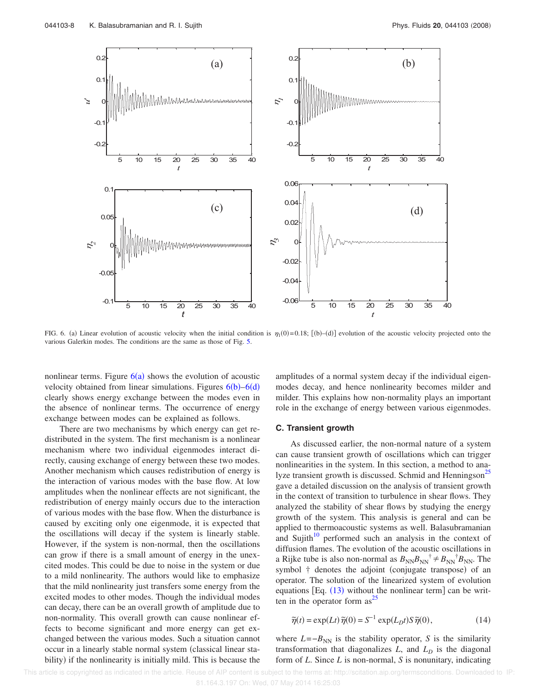

FIG. 6. (a) Linear evolution of acoustic velocity when the initial condition is  $\eta_1(0)=0.18$ ; [(b)–(d)] evolution of the acoustic velocity projected onto the various Galerkin modes. The conditions are the same as those of Fig. 5.

nonlinear terms. Figure  $6(a)$  shows the evolution of acoustic velocity obtained from linear simulations. Figures  $6(b) - 6(d)$ clearly shows energy exchange between the modes even in the absence of nonlinear terms. The occurrence of energy exchange between modes can be explained as follows.

There are two mechanisms by which energy can get redistributed in the system. The first mechanism is a nonlinear mechanism where two individual eigenmodes interact directly, causing exchange of energy between these two modes. Another mechanism which causes redistribution of energy is the interaction of various modes with the base flow. At low amplitudes when the nonlinear effects are not significant, the redistribution of energy mainly occurs due to the interaction of various modes with the base flow. When the disturbance is caused by exciting only one eigenmode, it is expected that the oscillations will decay if the system is linearly stable. However, if the system is non-normal, then the oscillations can grow if there is a small amount of energy in the unexcited modes. This could be due to noise in the system or due to a mild nonlinearity. The authors would like to emphasize that the mild nonlinearity just transfers some energy from the excited modes to other modes. Though the individual modes can decay, there can be an overall growth of amplitude due to non-normality. This overall growth can cause nonlinear effects to become significant and more energy can get exchanged between the various modes. Such a situation cannot occur in a linearly stable normal system (classical linear stability) if the nonlinearity is initially mild. This is because the

amplitudes of a normal system decay if the individual eigenmodes decay, and hence nonlinearity becomes milder and milder. This explains how non-normality plays an important role in the exchange of energy between various eigenmodes.

#### **C. Transient growth**

As discussed earlier, the non-normal nature of a system can cause transient growth of oscillations which can trigger nonlinearities in the system. In this section, a method to analyze transient growth is discussed. Schmid and Henningson<sup>25</sup> gave a detailed discussion on the analysis of transient growth in the context of transition to turbulence in shear flows. They analyzed the stability of shear flows by studying the energy growth of the system. This analysis is general and can be applied to thermoacoustic systems as well. Balasubramanian and Sujith $10$  performed such an analysis in the context of diffusion flames. The evolution of the acoustic oscillations in a Rijke tube is also non-normal as  $B_{NN}B_{NN}^{\dagger} \neq B_{NN}^{\dagger}B_{NN}$ . The symbol  $\dagger$  denotes the adjoint (conjugate transpose) of an operator. The solution of the linearized system of evolution equations [Eq.  $(13)$  without the nonlinear term] can be written in the operator form  $\text{as}^{25}$ 

$$
\widetilde{\eta}(t) = \exp(Lt)\,\widetilde{\eta}(0) = S^{-1}\,\exp(L_D t)S\,\widetilde{\eta}(0),\tag{14}
$$

where  $L=-B_{NN}$  is the stability operator, *S* is the similarity transformation that diagonalizes  $L$ , and  $L<sub>D</sub>$  is the diagonal form of *L*. Since *L* is non-normal, *S* is nonunitary, indicating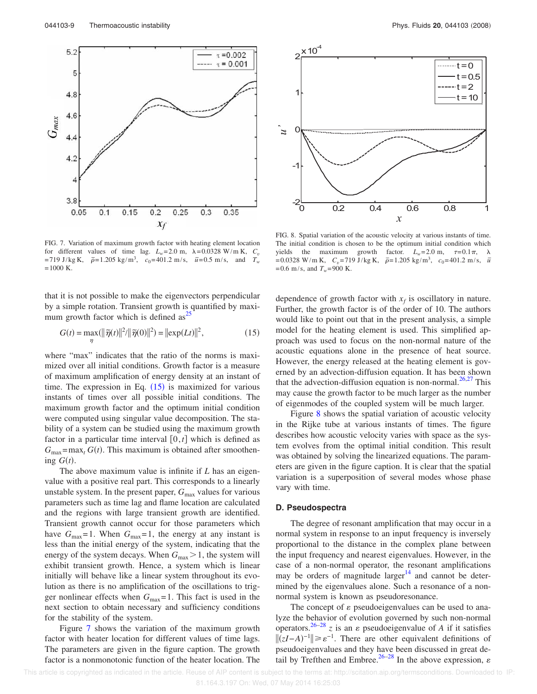

FIG. 7. Variation of maximum growth factor with heating element location for different values of time lag.  $L_w = 2.0$  m,  $\lambda = 0.0328$  W/m K,  $C_v$  $=719 \text{ J/kg K}$ ,  $\bar{\rho}=1.205 \text{ kg/m}^3$ ,  $c_0=401.2 \text{ m/s}$ ,  $\bar{u}=0.5 \text{ m/s}$ , and  $T_w$  $=1000$  K.

that it is not possible to make the eigenvectors perpendicular by a simple rotation. Transient growth is quantified by maximum growth factor which is defined as<sup>22</sup>

$$
G(t) = \max_{\eta} (\|\tilde{\eta}(t)\|^2 / \|\tilde{\eta}(0)\|^2) = \|\exp(Lt)\|^2,
$$
 (15)

where "max" indicates that the ratio of the norms is maximized over all initial conditions. Growth factor is a measure of maximum amplification of energy density at an instant of time. The expression in Eq.  $(15)$  is maximized for various instants of times over all possible initial conditions. The maximum growth factor and the optimum initial condition were computed using singular value decomposition. The stability of a system can be studied using the maximum growth factor in a particular time interval  $[0,t]$  which is defined as  $G_{\text{max}} = \max_t G(t)$ . This maximum is obtained after smoothen- $\log G(t)$ .

The above maximum value is infinite if *L* has an eigenvalue with a positive real part. This corresponds to a linearly unstable system. In the present paper,  $G_{\text{max}}$  values for various parameters such as time lag and flame location are calculated and the regions with large transient growth are identified. Transient growth cannot occur for those parameters which have  $G_{\text{max}}=1$ . When  $G_{\text{max}}=1$ , the energy at any instant is less than the initial energy of the system, indicating that the energy of the system decays. When  $G_{\text{max}} > 1$ , the system will exhibit transient growth. Hence, a system which is linear initially will behave like a linear system throughout its evolution as there is no amplification of the oscillations to trigger nonlinear effects when  $G_{\text{max}}=1$ . This fact is used in the next section to obtain necessary and sufficiency conditions for the stability of the system.

Figure 7 shows the variation of the maximum growth factor with heater location for different values of time lags. The parameters are given in the figure caption. The growth factor is a nonmonotonic function of the heater location. The



FIG. 8. Spatial variation of the acoustic velocity at various instants of time. The initial condition is chosen to be the optimum initial condition which yields the maximum growth factor.  $L_w = 2.0 \text{ m}, \tau = 0.1 \pi, \lambda$  $=0.0328 \text{ W/m K}, C_v = 719 \text{ J/kg K}, \bar{\rho} = 1.205 \text{ kg/m}^3, c_0 = 401.2 \text{ m/s}, \bar{u}$  $=0.6$  m/s, and  $T_w = 900$  K.

dependence of growth factor with  $x_f$  is oscillatory in nature. Further, the growth factor is of the order of 10. The authors would like to point out that in the present analysis, a simple model for the heating element is used. This simplified approach was used to focus on the non-normal nature of the acoustic equations alone in the presence of heat source. However, the energy released at the heating element is governed by an advection-diffusion equation. It has been shown that the advection-diffusion equation is non-normal.<sup>26,27</sup> This may cause the growth factor to be much larger as the number of eigenmodes of the coupled system will be much larger.

Figure 8 shows the spatial variation of acoustic velocity in the Rijke tube at various instants of times. The figure describes how acoustic velocity varies with space as the system evolves from the optimal initial condition. This result was obtained by solving the linearized equations. The parameters are given in the figure caption. It is clear that the spatial variation is a superposition of several modes whose phase vary with time.

#### **D. Pseudospectra**

The degree of resonant amplification that may occur in a normal system in response to an input frequency is inversely proportional to the distance in the complex plane between the input frequency and nearest eigenvalues. However, in the case of a non-normal operator, the resonant amplifications may be orders of magnitude larger<sup>14</sup> and cannot be determined by the eigenvalues alone. Such a resonance of a nonnormal system is known as pseudoresonance.

The concept of  $\varepsilon$  pseudoeigenvalues can be used to analyze the behavior of evolution governed by such non-normal operators.<sup>26–28</sup> *z* is an  $\varepsilon$  pseudoeigenvalue of *A* if it satisfies  $||(zI-A)^{-1}|| \ge \varepsilon^{-1}$ . There are other equivalent definitions of pseudoeigenvalues and they have been discussed in great detail by Trefthen and Embree.<sup>26–28</sup> In the above expression,  $\varepsilon$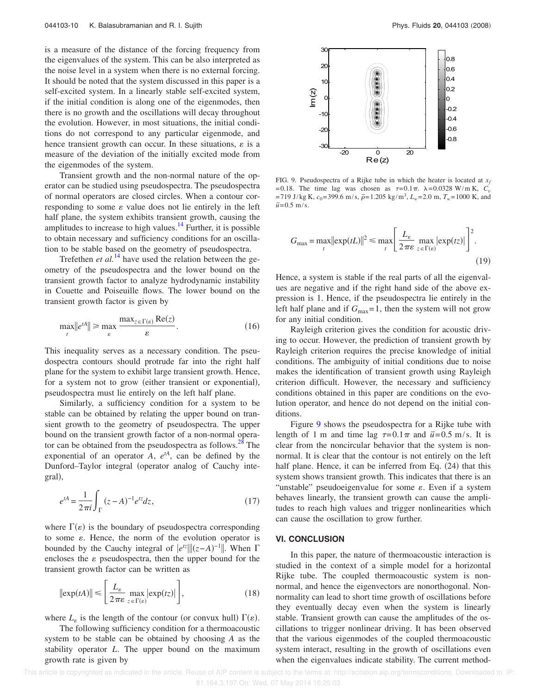is a measure of the distance of the forcing frequency from the eigenvalues of the system. This can be also interpreted as the noise level in a system when there is no external forcing. It should be noted that the system discussed in this paper is a self-excited system. In a linearly stable self-excited system, if the initial condition is along one of the eigenmodes, then there is no growth and the oscillations will decay throughout the evolution. However, in most situations, the initial conditions do not correspond to any particular eigenmode, and hence transient growth can occur. In these situations,  $\varepsilon$  is a measure of the deviation of the initially excited mode from the eigenmodes of the system.

Transient growth and the non-normal nature of the operator can be studied using pseudospectra. The pseudospectra of normal operators are closed circles. When a contour corresponding to some  $\varepsilon$  value does not lie entirely in the left half plane, the system exhibits transient growth, causing the amplitudes to increase to high values. $14$  Further, it is possible to obtain necessary and sufficiency conditions for an oscillation to be stable based on the geometry of pseudospectra.

Trefethen *et al.*<sup>14</sup> have used the relation between the geometry of the pseudospectra and the lower bound on the transient growth factor to analyze hydrodynamic instability in Couette and Poiseuille flows. The lower bound on the transient growth factor is given by

$$
\max_{t} \|e^{tA}\| \ge \max_{\varepsilon} \frac{\max_{z \in \Gamma(\varepsilon)} \text{Re}(z)}{\varepsilon}.
$$
 (16)

This inequality serves as a necessary condition. The pseudospectra contours should protrude far into the right half plane for the system to exhibit large transient growth. Hence, for a system not to grow (either transient or exponential), pseudospectra must lie entirely on the left half plane.

Similarly, a sufficiency condition for a system to be stable can be obtained by relating the upper bound on transient growth to the geometry of pseudospectra. The upper bound on the transient growth factor of a non-normal operator can be obtained from the pseudospectra as follows. $28$  The exponential of an operator  $A$ ,  $e^{tA}$ , can be defined by the Dunford–Taylor integral (operator analog of Cauchy integral),

$$
e^{tA} = \frac{1}{2\pi i} \int_{\Gamma} (z - A)^{-1} e^{tz} dz,
$$
 (17)

where  $\Gamma(\varepsilon)$  is the boundary of pseudospectra corresponding to some  $\varepsilon$ . Hence, the norm of the evolution operator is bounded by the Cauchy integral of  $|e^{tz}|||(z-A)^{-1}||$ . When  $\Gamma$ encloses the  $\varepsilon$  pseudospectra, then the upper bound for the transient growth factor can be written as

$$
\|\exp(tA)\| \le \left[\frac{L_{\varepsilon}}{2\pi\varepsilon} \max_{z \in \Gamma(\varepsilon)} |\exp(tz)|\right],\tag{18}
$$

where  $L_{\varepsilon}$  is the length of the contour (or convux hull)  $\Gamma(\varepsilon)$ .

The following sufficiency condition for a thermoacoustic system to be stable can be obtained by choosing *A* as the stability operator *L*. The upper bound on the maximum growth rate is given by



FIG. 9. Pseudospectra of a Rijke tube in which the heater is located at  $x_f$ =0.18. The time lag was chosen as  $\tau = 0.1\pi$ .  $\lambda = 0.0328$  W/m K,  $C_v$  $=719 \text{ J/kg K}, c_0 = 399.6 \text{ m/s}, \bar{\rho} = 1.205 \text{ kg/m}^3, L_w = 2.0 \text{ m}, T_w = 1000 \text{ K}, \text{ and}$  $\bar{u}$ =0.5 m/s.

$$
G_{\max} = \max_{t} \|\exp(tL)\|^2 \le \max_{t} \left[ \frac{L_{\varepsilon}}{2\pi\varepsilon} \max_{z \in \Gamma(\varepsilon)} \left| \exp(tz) \right| \right]^2.
$$
\n(19)

Hence, a system is stable if the real parts of all the eigenvalues are negative and if the right hand side of the above expression is 1. Hence, if the pseudospectra lie entirely in the left half plane and if  $G_{\text{max}}=1$ , then the system will not grow for any initial condition.

Rayleigh criterion gives the condition for acoustic driving to occur. However, the prediction of transient growth by Rayleigh criterion requires the precise knowledge of initial conditions. The ambiguity of initial conditions due to noise makes the identification of transient growth using Rayleigh criterion difficult. However, the necessary and sufficiency conditions obtained in this paper are conditions on the evolution operator, and hence do not depend on the initial conditions.

Figure 9 shows the pseudospectra for a Rijke tube with length of 1 m and time lag  $\tau=0.1\pi$  and  $\bar{u}=0.5$  m/s. It is clear from the noncircular behavior that the system is nonnormal. It is clear that the contour is not entirely on the left half plane. Hence, it can be inferred from Eq. (24) that this system shows transient growth. This indicates that there is an "unstable" pseudoeigenvalue for some  $\varepsilon$ . Even if a system behaves linearly, the transient growth can cause the amplitudes to reach high values and trigger nonlinearities which can cause the oscillation to grow further.

#### **VI. CONCLUSION**

In this paper, the nature of thermoacoustic interaction is studied in the context of a simple model for a horizontal Rijke tube. The coupled thermoacoustic system is nonnormal, and hence the eigenvectors are nonorthogonal. Nonnormality can lead to short time growth of oscillations before they eventually decay even when the system is linearly stable. Transient growth can cause the amplitudes of the oscillations to trigger nonlinear driving. It has been observed that the various eigenmodes of the coupled thermoacoustic system interact, resulting in the growth of oscillations even when the eigenvalues indicate stability. The current method